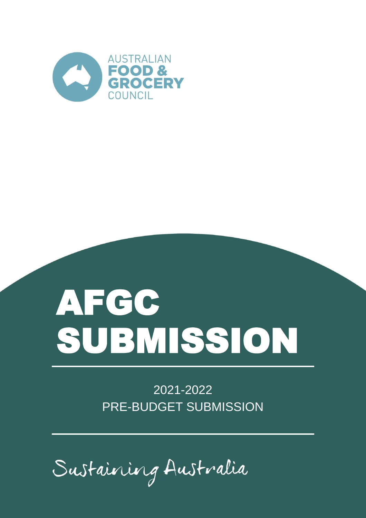

# AFGC SUBMISSION

2021-2022 PRE-BUDGET SUBMISSION

Sustaining Australia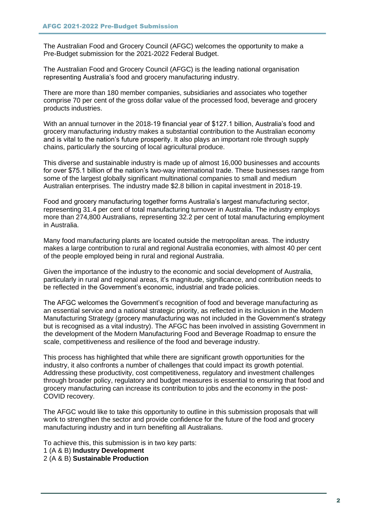The Australian Food and Grocery Council (AFGC) welcomes the opportunity to make a Pre-Budget submission for the 2021-2022 Federal Budget.

The Australian Food and Grocery Council (AFGC) is the leading national organisation representing Australia's food and grocery manufacturing industry.

There are more than 180 member companies, subsidiaries and associates who together comprise 70 per cent of the gross dollar value of the processed food, beverage and grocery products industries.

With an annual turnover in the 2018-19 financial year of \$127.1 billion, Australia's food and grocery manufacturing industry makes a substantial contribution to the Australian economy and is vital to the nation's future prosperity. It also plays an important role through supply chains, particularly the sourcing of local agricultural produce.

This diverse and sustainable industry is made up of almost 16,000 businesses and accounts for over \$75.1 billion of the nation's two-way international trade. These businesses range from some of the largest globally significant multinational companies to small and medium Australian enterprises. The industry made \$2.8 billion in capital investment in 2018-19.

Food and grocery manufacturing together forms Australia's largest manufacturing sector, representing 31.4 per cent of total manufacturing turnover in Australia. The industry employs more than 274,800 Australians, representing 32.2 per cent of total manufacturing employment in Australia.

Many food manufacturing plants are located outside the metropolitan areas. The industry makes a large contribution to rural and regional Australia economies, with almost 40 per cent of the people employed being in rural and regional Australia.

Given the importance of the industry to the economic and social development of Australia, particularly in rural and regional areas, it's magnitude, significance, and contribution needs to be reflected in the Government's economic, industrial and trade policies.

The AFGC welcomes the Government's recognition of food and beverage manufacturing as an essential service and a national strategic priority, as reflected in its inclusion in the Modern Manufacturing Strategy (grocery manufacturing was not included in the Government's strategy but is recognised as a vital industry). The AFGC has been involved in assisting Government in the development of the Modern Manufacturing Food and Beverage Roadmap to ensure the scale, competitiveness and resilience of the food and beverage industry.

This process has highlighted that while there are significant growth opportunities for the industry, it also confronts a number of challenges that could impact its growth potential. Addressing these productivity, cost competitiveness, regulatory and investment challenges through broader policy, regulatory and budget measures is essential to ensuring that food and grocery manufacturing can increase its contribution to jobs and the economy in the post-COVID recovery.

The AFGC would like to take this opportunity to outline in this submission proposals that will work to strengthen the sector and provide confidence for the future of the food and grocery manufacturing industry and in turn benefiting all Australians.

To achieve this, this submission is in two key parts:

1 (A & B) **Industry Development**

2 (A & B) **Sustainable Production**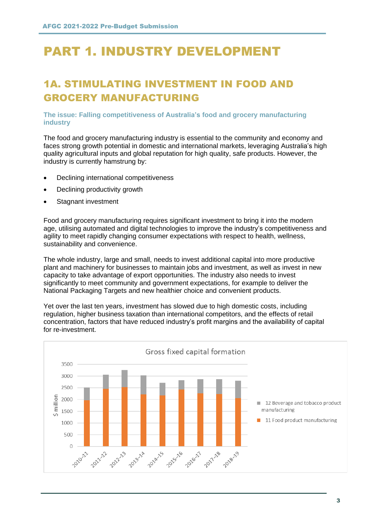# PART 1. INDUSTRY DEVELOPMENT

## 1A. STIMULATING INVESTMENT IN FOOD AND GROCERY MANUFACTURING

#### **The issue: Falling competitiveness of Australia's food and grocery manufacturing industry**

The food and grocery manufacturing industry is essential to the community and economy and faces strong growth potential in domestic and international markets, leveraging Australia's high quality agricultural inputs and global reputation for high quality, safe products. However, the industry is currently hamstrung by:

- Declining international competitiveness
- Declining productivity growth
- Stagnant investment

Food and grocery manufacturing requires significant investment to bring it into the modern age, utilising automated and digital technologies to improve the industry's competitiveness and agility to meet rapidly changing consumer expectations with respect to health, wellness, sustainability and convenience.

The whole industry, large and small, needs to invest additional capital into more productive plant and machinery for businesses to maintain jobs and investment, as well as invest in new capacity to take advantage of export opportunities. The industry also needs to invest significantly to meet community and government expectations, for example to deliver the National Packaging Targets and new healthier choice and convenient products.

Yet over the last ten years, investment has slowed due to high domestic costs, including regulation, higher business taxation than international competitors, and the effects of retail concentration, factors that have reduced industry's profit margins and the availability of capital for re-investment.

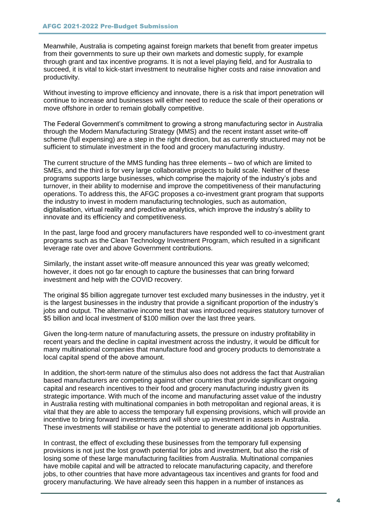Meanwhile, Australia is competing against foreign markets that benefit from greater impetus from their governments to sure up their own markets and domestic supply, for example through grant and tax incentive programs. It is not a level playing field, and for Australia to succeed, it is vital to kick-start investment to neutralise higher costs and raise innovation and productivity.

Without investing to improve efficiency and innovate, there is a risk that import penetration will continue to increase and businesses will either need to reduce the scale of their operations or move offshore in order to remain globally competitive.

The Federal Government's commitment to growing a strong manufacturing sector in Australia through the Modern Manufacturing Strategy (MMS) and the recent instant asset write-off scheme (full expensing) are a step in the right direction, but as currently structured may not be sufficient to stimulate investment in the food and grocery manufacturing industry.

The current structure of the MMS funding has three elements – two of which are limited to SMEs, and the third is for very large collaborative projects to build scale. Neither of these programs supports large businesses, which comprise the majority of the industry's jobs and turnover, in their ability to modernise and improve the competitiveness of their manufacturing operations. To address this, the AFGC proposes a co-investment grant program that supports the industry to invest in modern manufacturing technologies, such as automation, digitalisation, virtual reality and predictive analytics, which improve the industry's ability to innovate and its efficiency and competitiveness.

In the past, large food and grocery manufacturers have responded well to co-investment grant programs such as the Clean Technology Investment Program, which resulted in a significant leverage rate over and above Government contributions.

Similarly, the instant asset write-off measure announced this year was greatly welcomed; however, it does not go far enough to capture the businesses that can bring forward investment and help with the COVID recovery.

The original \$5 billion aggregate turnover test excluded many businesses in the industry, yet it is the largest businesses in the industry that provide a significant proportion of the industry's jobs and output. The alternative income test that was introduced requires statutory turnover of \$5 billion and local investment of \$100 million over the last three years.

Given the long-term nature of manufacturing assets, the pressure on industry profitability in recent years and the decline in capital investment across the industry, it would be difficult for many multinational companies that manufacture food and grocery products to demonstrate a local capital spend of the above amount.

In addition, the short-term nature of the stimulus also does not address the fact that Australian based manufacturers are competing against other countries that provide significant ongoing capital and research incentives to their food and grocery manufacturing industry given its strategic importance. With much of the income and manufacturing asset value of the industry in Australia resting with multinational companies in both metropolitan and regional areas, it is vital that they are able to access the temporary full expensing provisions, which will provide an incentive to bring forward investments and will shore up investment in assets in Australia. These investments will stabilise or have the potential to generate additional job opportunities.

In contrast, the effect of excluding these businesses from the temporary full expensing provisions is not just the lost growth potential for jobs and investment, but also the risk of losing some of these large manufacturing facilities from Australia. Multinational companies have mobile capital and will be attracted to relocate manufacturing capacity, and therefore jobs, to other countries that have more advantageous tax incentives and grants for food and grocery manufacturing. We have already seen this happen in a number of instances as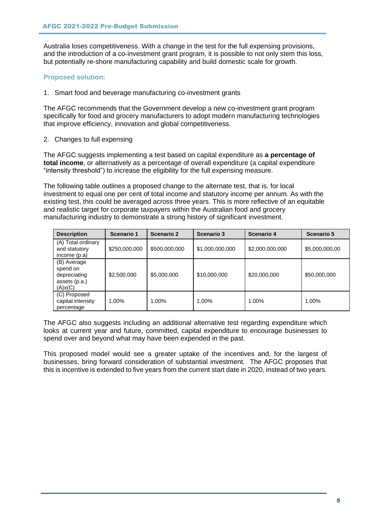Australia loses competitiveness. With a change in the test for the full expensing provisions, and the introduction of a co-investment grant program, it is possible to not only stem this loss, but potentially re-shore manufacturing capability and build domestic scale for growth.

#### **Proposed solution:**

1. Smart food and beverage manufacturing co-investment grants

The AFGC recommends that the Government develop a new co-investment grant program specifically for food and grocery manufacturers to adopt modern manufacturing technologies that improve efficiency, innovation and global competitiveness.

2. Changes to full expensing

The AFGC suggests implementing a test based on capital expenditure as **a percentage of total income**, or alternatively as a percentage of overall expenditure (a capital expenditure "intensity threshold") to increase the eligibility for the full expensing measure.

The following table outlines a proposed change to the alternate test, that is, for local investment to equal one per cent of total income and statutory income per annum. As with the existing test, this could be averaged across three years. This is more reflective of an equitable and realistic target for corporate taxpayers within the Australian food and grocery manufacturing industry to demonstrate a strong history of significant investment.

| <b>Description</b>                                                  | <b>Scenario 1</b> | <b>Scenario 2</b> | <b>Scenario 3</b> | <b>Scenario 4</b> | <b>Scenario 5</b> |
|---------------------------------------------------------------------|-------------------|-------------------|-------------------|-------------------|-------------------|
| (A) Total ordinary<br>and statutory<br>income $(p.a)$               | \$250,000,000     | \$500,000,000     | \$1,000,000,000   | \$2,000,000,000   | \$5,000,000,00    |
| (B) Average<br>spend on<br>depreciating<br>assets (p.a.)<br>(A)x(C) | \$2,500,000       | \$5,000,000       | \$10,000,000      | \$20,000,000      | \$50,000,000      |
| (C) Proposed<br>capital intensity<br>percentage                     | 1.00%             | 1.00%             | 1.00%             | $1.00\%$          | 1.00%             |

The AFGC also suggests including an additional alternative test regarding expenditure which looks at current year and future, committed, capital expenditure to encourage businesses to spend over and beyond what may have been expended in the past.

This proposed model would see a greater uptake of the incentives and, for the largest of businesses, bring forward consideration of substantial investment. The AFGC proposes that this is incentive is extended to five years from the current start date in 2020, instead of two years.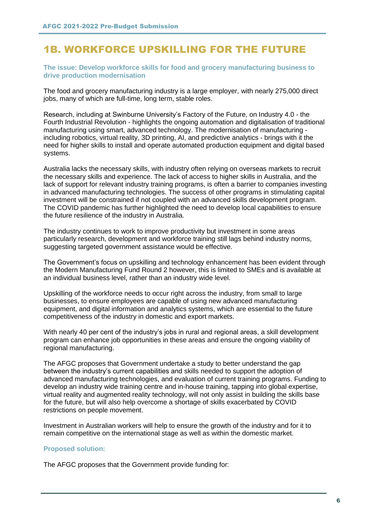## 1B. WORKFORCE UPSKILLING FOR THE FUTURE

#### **The issue: Develop workforce skills for food and grocery manufacturing business to drive production modernisation**

The food and grocery manufacturing industry is a large employer, with nearly 275,000 direct jobs, many of which are full-time, long term, stable roles.

Research, including at Swinburne University's Factory of the Future, on Industry 4.0 - the Fourth Industrial Revolution - highlights the ongoing automation and digitalisation of traditional manufacturing using smart, advanced technology. The modernisation of manufacturing including robotics, virtual reality, 3D printing, AI, and predictive analytics - brings with it the need for higher skills to install and operate automated production equipment and digital based systems.

Australia lacks the necessary skills, with industry often relying on overseas markets to recruit the necessary skills and experience. The lack of access to higher skills in Australia, and the lack of support for relevant industry training programs, is often a barrier to companies investing in advanced manufacturing technologies. The success of other programs in stimulating capital investment will be constrained if not coupled with an advanced skills development program. The COVID pandemic has further highlighted the need to develop local capabilities to ensure the future resilience of the industry in Australia.

The industry continues to work to improve productivity but investment in some areas particularly research, development and workforce training still lags behind industry norms, suggesting targeted government assistance would be effective.

The Government's focus on upskilling and technology enhancement has been evident through the Modern Manufacturing Fund Round 2 however, this is limited to SMEs and is available at an individual business level, rather than an industry wide level.

Upskilling of the workforce needs to occur right across the industry, from small to large businesses, to ensure employees are capable of using new advanced manufacturing equipment, and digital information and analytics systems, which are essential to the future competitiveness of the industry in domestic and export markets.

With nearly 40 per cent of the industry's jobs in rural and regional areas, a skill development program can enhance job opportunities in these areas and ensure the ongoing viability of regional manufacturing.

The AFGC proposes that Government undertake a study to better understand the gap between the industry's current capabilities and skills needed to support the adoption of advanced manufacturing technologies, and evaluation of current training programs. Funding to develop an industry wide training centre and in-house training, tapping into global expertise, virtual reality and augmented reality technology, will not only assist in building the skills base for the future, but will also help overcome a shortage of skills exacerbated by COVID restrictions on people movement.

Investment in Australian workers will help to ensure the growth of the industry and for it to remain competitive on the international stage as well as within the domestic market.

#### **Proposed solution:**

The AFGC proposes that the Government provide funding for: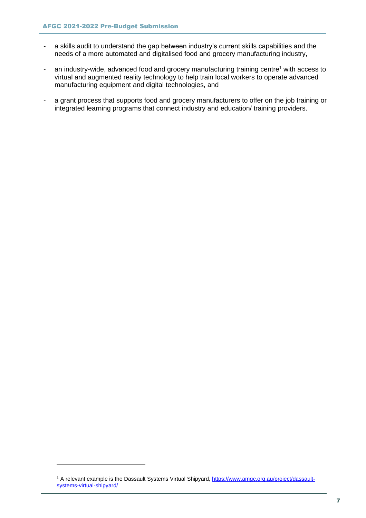- a skills audit to understand the gap between industry's current skills capabilities and the needs of a more automated and digitalised food and grocery manufacturing industry,
- an industry-wide, advanced food and grocery manufacturing training centre<sup>1</sup> with access to virtual and augmented reality technology to help train local workers to operate advanced manufacturing equipment and digital technologies, and
- a grant process that supports food and grocery manufacturers to offer on the job training or integrated learning programs that connect industry and education/ training providers.

<sup>&</sup>lt;sup>1</sup> A relevant example is the Dassault Systems Virtual Shipyard[, https://www.amgc.org.au/project/dassault](https://www.amgc.org.au/project/dassault-systems-virtual-shipyard/)[systems-virtual-shipyard/](https://www.amgc.org.au/project/dassault-systems-virtual-shipyard/)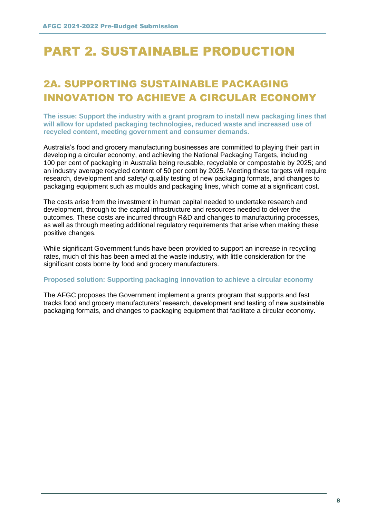# PART 2. SUSTAINABLE PRODUCTION

## 2A. SUPPORTING SUSTAINABLE PACKAGING INNOVATION TO ACHIEVE A CIRCULAR ECONOMY

**The issue: Support the industry with a grant program to install new packaging lines that will allow for updated packaging technologies, reduced waste and increased use of recycled content, meeting government and consumer demands.**

Australia's food and grocery manufacturing businesses are committed to playing their part in developing a circular economy, and achieving the National Packaging Targets, including 100 per cent of packaging in Australia being reusable, recyclable or compostable by 2025; and an industry average recycled content of 50 per cent by 2025. Meeting these targets will require research, development and safety/ quality testing of new packaging formats, and changes to packaging equipment such as moulds and packaging lines, which come at a significant cost.

The costs arise from the investment in human capital needed to undertake research and development, through to the capital infrastructure and resources needed to deliver the outcomes. These costs are incurred through R&D and changes to manufacturing processes, as well as through meeting additional regulatory requirements that arise when making these positive changes.

While significant Government funds have been provided to support an increase in recycling rates, much of this has been aimed at the waste industry, with little consideration for the significant costs borne by food and grocery manufacturers.

#### **Proposed solution: Supporting packaging innovation to achieve a circular economy**

The AFGC proposes the Government implement a grants program that supports and fast tracks food and grocery manufacturers' research, development and testing of new sustainable packaging formats, and changes to packaging equipment that facilitate a circular economy.